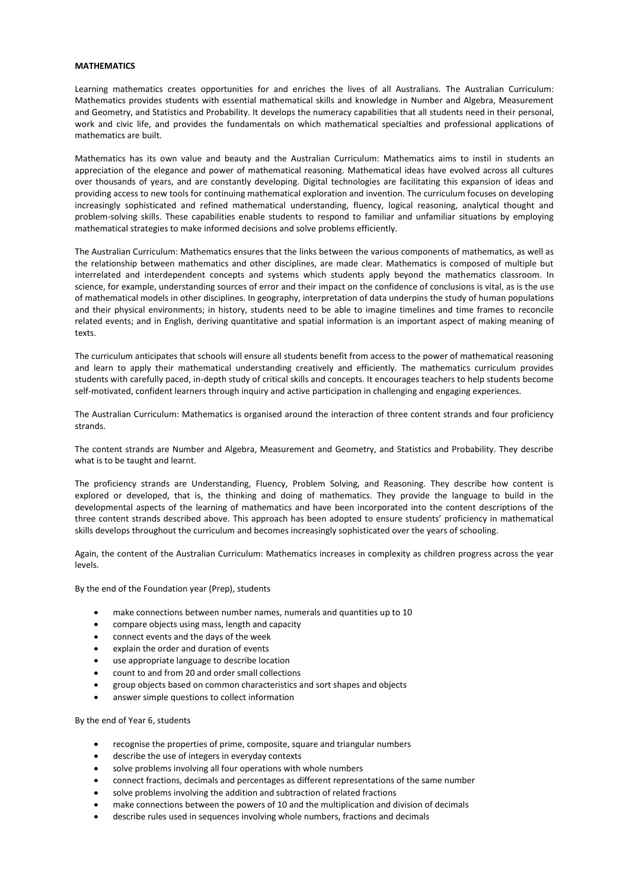## **MATHEMATICS**

Learning mathematics creates opportunities for and enriches the lives of all Australians. The Australian Curriculum: Mathematics provides students with essential mathematical skills and knowledge in Number and Algebra, Measurement and Geometry, and Statistics and Probability. It develops the numeracy capabilities that all students need in their personal, work and civic life, and provides the fundamentals on which mathematical specialties and professional applications of mathematics are built.

Mathematics has its own value and beauty and the Australian Curriculum: Mathematics aims to instil in students an appreciation of the elegance and power of mathematical reasoning. Mathematical ideas have evolved across all cultures over thousands of years, and are constantly developing. Digital technologies are facilitating this expansion of ideas and providing access to new tools for continuing mathematical exploration and invention. The curriculum focuses on developing increasingly sophisticated and refined mathematical understanding, fluency, logical reasoning, analytical thought and problem-solving skills. These capabilities enable students to respond to familiar and unfamiliar situations by employing mathematical strategies to make informed decisions and solve problems efficiently.

The Australian Curriculum: Mathematics ensures that the links between the various components of mathematics, as well as the relationship between mathematics and other disciplines, are made clear. Mathematics is composed of multiple but interrelated and interdependent concepts and systems which students apply beyond the mathematics classroom. In science, for example, understanding sources of error and their impact on the confidence of conclusions is vital, as is the use of mathematical models in other disciplines. In geography, interpretation of data underpins the study of human populations and their physical environments; in history, students need to be able to imagine timelines and time frames to reconcile related events; and in English, deriving quantitative and spatial information is an important aspect of making meaning of texts.

The curriculum anticipates that schools will ensure all students benefit from access to the power of mathematical reasoning and learn to apply their mathematical understanding creatively and efficiently. The mathematics curriculum provides students with carefully paced, in-depth study of critical skills and concepts. It encourages teachers to help students become self-motivated, confident learners through inquiry and active participation in challenging and engaging experiences.

The Australian Curriculum: Mathematics is organised around the interaction of three content strands and four proficiency strands.

The content strands are Number and Algebra, Measurement and Geometry, and Statistics and Probability. They describe what is to be taught and learnt.

The proficiency strands are Understanding, Fluency, Problem Solving, and Reasoning. They describe how content is explored or developed, that is, the thinking and doing of mathematics. They provide the language to build in the developmental aspects of the learning of mathematics and have been incorporated into the content descriptions of the three content strands described above. This approach has been adopted to ensure students' proficiency in mathematical skills develops throughout the curriculum and becomes increasingly sophisticated over the years of schooling.

Again, the content of the Australian Curriculum: Mathematics increases in complexity as children progress across the year levels.

By the end of the Foundation year (Prep), students

- make connections between number names, numerals and quantities up to 10
- [compare](http://www.australiancurriculum.edu.au/Glossary?a=&t=Compare) objects using mass, length and capacity
- connect events and the days of the week
- [explain](http://www.australiancurriculum.edu.au/Glossary?a=&t=Explain) the order and duration of events
- use appropriate language to [describe](http://www.australiancurriculum.edu.au/Glossary?a=&t=Describe) location
- count to and from 20 and order small collections
- group objects based on common characteristics and sort shapes and objects
- answer simple questions to collect information

By the end of Year 6, students

- [recognise](http://www.australiancurriculum.edu.au/Glossary?a=&t=Recognise) the properties of prime, composite, square and triangular numbers
- [describe](http://www.australiancurriculum.edu.au/Glossary?a=&t=Describe) the use of integers in everyday contexts
- [solve](http://www.australiancurriculum.edu.au/Glossary?a=&t=Solve) problems involving all four operations with whole numbers
- connect fractions, decimals and percentages as different representations of the same number
- [solve](http://www.australiancurriculum.edu.au/Glossary?a=&t=Solve) problems involving the addition and subtraction of related fractions
- make connections between the powers of 10 and the multiplication and division of decimals
- [describe](http://www.australiancurriculum.edu.au/Glossary?a=&t=Describe) rules used in sequences involving whole numbers, fractions and decimals